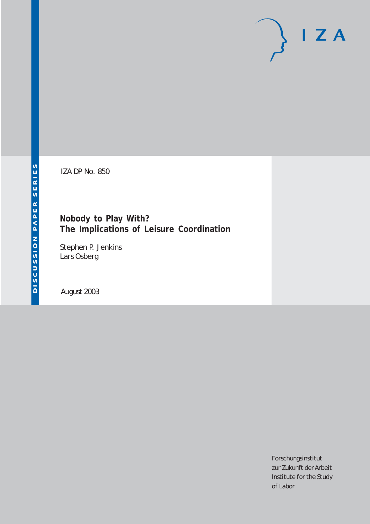# $I Z A$

IZA DP No. 850

## **Nobody to Play With? The Implications of Leisure Coordination**

Stephen P. Jenkins Lars Osberg

August 2003

Forschungsinstitut zur Zukunft der Arbeit Institute for the Study of Labor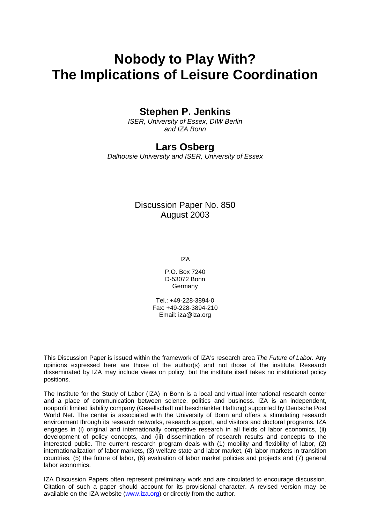# **Nobody to Play With? The Implications of Leisure Coordination**

## **Stephen P. Jenkins**

*ISER, University of Essex, DIW Berlin and IZA Bonn* 

### **Lars Osberg**

*Dalhousie University and ISER, University of Essex*

## Discussion Paper No. 850 August 2003

IZA

P.O. Box 7240 D-53072 Bonn Germany

Tel.: +49-228-3894-0 Fax: +49-228-3894-210 Email: [iza@iza.org](mailto:iza@iza.org)

This Discussion Paper is issued within the framework of IZA's research area *The Future of Labor.* Any opinions expressed here are those of the author(s) and not those of the institute. Research disseminated by IZA may include views on policy, but the institute itself takes no institutional policy positions.

The Institute for the Study of Labor (IZA) in Bonn is a local and virtual international research center and a place of communication between science, politics and business. IZA is an independent, nonprofit limited liability company (Gesellschaft mit beschränkter Haftung) supported by Deutsche Post World Net. The center is associated with the University of Bonn and offers a stimulating research environment through its research networks, research support, and visitors and doctoral programs. IZA engages in (i) original and internationally competitive research in all fields of labor economics, (ii) development of policy concepts, and (iii) dissemination of research results and concepts to the interested public. The current research program deals with (1) mobility and flexibility of labor, (2) internationalization of labor markets, (3) welfare state and labor market, (4) labor markets in transition countries, (5) the future of labor, (6) evaluation of labor market policies and projects and (7) general labor economics.

IZA Discussion Papers often represent preliminary work and are circulated to encourage discussion. Citation of such a paper should account for its provisional character. A revised version may be available on the IZA website ([www.iza.org](http://www.iza.org/)) or directly from the author.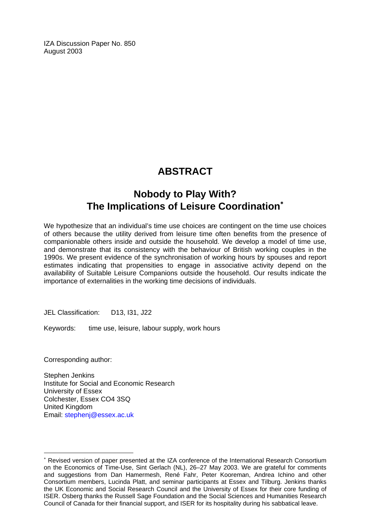IZA Discussion Paper No. 850 August 2003

## **ABSTRACT**

## **Nobody to Play With? The Implications of Leisure Coordination**[∗](#page-2-0)

We hypothesize that an individual's time use choices are contingent on the time use choices of others because the utility derived from leisure time often benefits from the presence of companionable others inside and outside the household. We develop a model of time use, and demonstrate that its consistency with the behaviour of British working couples in the 1990s. We present evidence of the synchronisation of working hours by spouses and report estimates indicating that propensities to engage in associative activity depend on the availability of Suitable Leisure Companions outside the household. Our results indicate the importance of externalities in the working time decisions of individuals.

JEL Classification: D13, I31, J22

Keywords: time use, leisure, labour supply, work hours

Corresponding author:

 $\overline{a}$ 

Stephen Jenkins Institute for Social and Economic Research University of Essex Colchester, Essex CO4 3SQ United Kingdom Email: [stephenj@essex.ac.uk](mailto:stephenj@essex.ac.uk)

<span id="page-2-0"></span><sup>∗</sup> Revised version of paper presented at the IZA conference of the International Research Consortium on the Economics of Time-Use, Sint Gerlach (NL), 26–27 May 2003. We are grateful for comments and suggestions from Dan Hamermesh, René Fahr, Peter Kooreman, Andrea Ichino and other Consortium members, Lucinda Platt, and seminar participants at Essex and Tilburg. Jenkins thanks the UK Economic and Social Research Council and the University of Essex for their core funding of ISER. Osberg thanks the Russell Sage Foundation and the Social Sciences and Humanities Research Council of Canada for their financial support, and ISER for its hospitality during his sabbatical leave.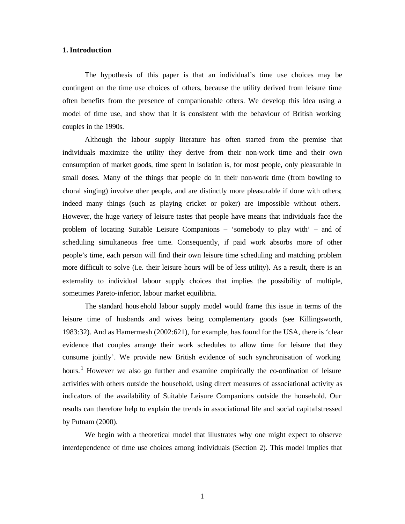#### **1. Introduction**

The hypothesis of this paper is that an individual's time use choices may be contingent on the time use choices of others, because the utility derived from leisure time often benefits from the presence of companionable others. We develop this idea using a model of time use, and show that it is consistent with the behaviour of British working couples in the 1990s.

Although the labour supply literature has often started from the premise that individuals maximize the utility they derive from their non-work time and their own consumption of market goods, time spent in isolation is, for most people, only pleasurable in small doses. Many of the things that people do in their non-work time (from bowling to choral singing) involve other people, and are distinctly more pleasurable if done with others; indeed many things (such as playing cricket or poker) are impossible without others. However, the huge variety of leisure tastes that people have means that individuals face the problem of locating Suitable Leisure Companions – 'somebody to play with' – and of scheduling simultaneous free time. Consequently, if paid work absorbs more of other people's time, each person will find their own leisure time scheduling and matching problem more difficult to solve (i.e. their leisure hours will be of less utility). As a result, there is an externality to individual labour supply choices that implies the possibility of multiple, sometimes Pareto-inferior, labour market equilibria.

The standard hous ehold labour supply model would frame this issue in terms of the leisure time of husbands and wives being complementary goods (see Killingsworth, 1983:32). And as Hamermesh (2002:621), for example, has found for the USA, there is 'clear evidence that couples arrange their work schedules to allow time for leisure that they consume jointly'. We provide new British evidence of such synchronisation of working hours.<sup>1</sup> However we also go further and examine empirically the co-ordination of leisure activities with others outside the household, using direct measures of associational activity as indicators of the availability of Suitable Leisure Companions outside the household. Our results can therefore help to explain the trends in associational life and social capital stressed by Putnam (2000).

We begin with a theoretical model that illustrates why one might expect to observe interdependence of time use choices among individuals (Section 2). This model implies that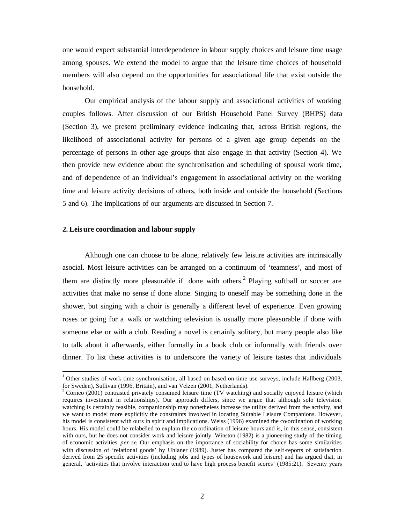one would expect substantial interdependence in labour supply choices and leisure time usage among spouses. We extend the model to argue that the leisure time choices of household members will also depend on the opportunities for associational life that exist outside the household.

Our empirical analysis of the labour supply and associational activities of working couples follows. After discussion of our British Household Panel Survey (BHPS) data (Section 3), we present preliminary evidence indicating that, across British regions, the likelihood of associational activity for persons of a given age group depends on the percentage of persons in other age groups that also engage in that activity (Section 4). We then provide new evidence about the synchronisation and scheduling of spousal work time, and of dependence of an individual's engagement in associational activity on the working time and leisure activity decisions of others, both inside and outside the household (Sections 5 and 6). The implications of our arguments are discussed in Section 7.

#### **2. Leisure coordination and labour supply**

 $\overline{a}$ 

Although one can choose to be alone, relatively few leisure activities are intrinsically asocial. Most leisure activities can be arranged on a continuum of 'teamness', and most of them are distinctly more pleasurable if done with others.<sup>2</sup> Playing softball or soccer are activities that make no sense if done alone. Singing to oneself may be something done in the shower, but singing with a choir is generally a different level of experience. Even growing roses or going for a walk or watching television is usually more pleasurable if done with someone else or with a club. Reading a novel is certainly solitary, but many people also like to talk about it afterwards, either formally in a book club or informally with friends over dinner. To list these activities is to underscore the variety of leisure tastes that individuals

<sup>&</sup>lt;sup>1</sup> Other studies of work time synchronisation, all based on based on time use surveys, include Hallberg (2003, for Sweden), Sullivan (1996, Britain), and van Velzen (2001, Netherlands).

<sup>&</sup>lt;sup>2</sup> Corneo (2001) contrasted privately consumed leisure time (TV watching) and socially enjoyed leisure (which requires investment in relationships). Our approach differs, since we argue that although solo television watching is certainly feasible, companionship may nonetheless increase the utility derived from the activity, and we want to model more explicitly the constraints involved in locating Suitable Leisure Companions. However, his model is consistent with ours in spirit and implications. Weiss (1996) examined the co-ordination of working hours. His model could be relabelled to explain the co-ordination of leisure hours and is, in this sense, consistent with ours, but he does not consider work and leisure jointly. Winston (1982) is a pioneering study of the timing of economic activities *per se*. Our emphasis on the importance of sociability for choice has some similarities with discussion of 'relational goods' by Uhlaner (1989). Juster has compared the self-reports of satisfaction derived from 25 specific activities (including jobs and types of housework and leisure) and has argued that, in general, 'activities that involve interaction tend to have high process benefit scores' (1985:21). Seventy years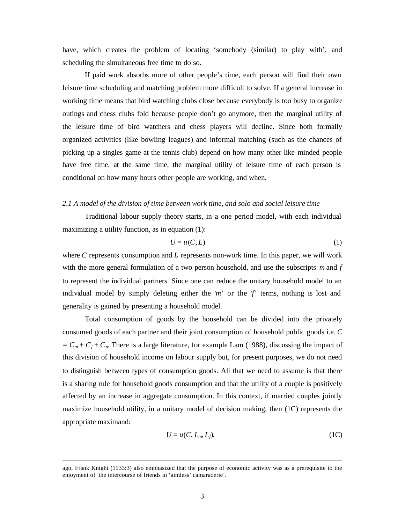have, which creates the problem of locating 'somebody (similar) to play with', and scheduling the simultaneous free time to do so.

If paid work absorbs more of other people's time, each person will find their own leisure time scheduling and matching problem more difficult to solve. If a general increase in working time means that bird watching clubs close because everybody is too busy to organize outings and chess clubs fold because people don't go anymore, then the marginal utility of the leisure time of bird watchers and chess players will decline. Since both formally organized activities (like bowling leagues) and informal matching (such as the chances of picking up a singles game at the tennis club) depend on how many other like-minded people have free time, at the same time, the marginal utility of leisure time of each person is conditional on how many hours other people are working, and when.

#### *2.1 A model of the division of time between work time, and solo and social leisure time*

Traditional labour supply theory starts, in a one period model, with each individual maximizing a utility function, as in equation (1):

$$
U = u(C, L) \tag{1}
$$

where *C* represents consumption and *L* represents non-work time. In this paper, we will work with the more general formulation of a two person household, and use the subscripts *m* and *f* to represent the individual partners. Since one can reduce the unitary household model to an individual model by simply deleting either the '*m*' or the  $f'$  terms, nothing is lost and generality is gained by presenting a household model.

Total consumption of goods by the household can be divided into the privately consumed goods of each partner and their joint consumption of household public goods i.e. *C*   $= C_m + C_f + C_p$ . There is a large literature, for example Lam (1988), discussing the impact of this division of household income on labour supply but, for present purposes, we do not need to distinguish be tween types of consumption goods. All that we need to assume is that there is a sharing rule for household goods consumption and that the utility of a couple is positively affected by an increase in aggregate consumption. In this context, if married couples jointly maximize household utility, in a unitary model of decision making, then (1C) represents the appropriate maximand:

$$
U = u(C, L_m, L_f). \tag{1C}
$$

ago, Frank Knight (1933:3) also emphasized that the purpose of economic activity was as a prerequisite to the enjoyment of 'the intercourse of friends in 'aimless' camaraderie'.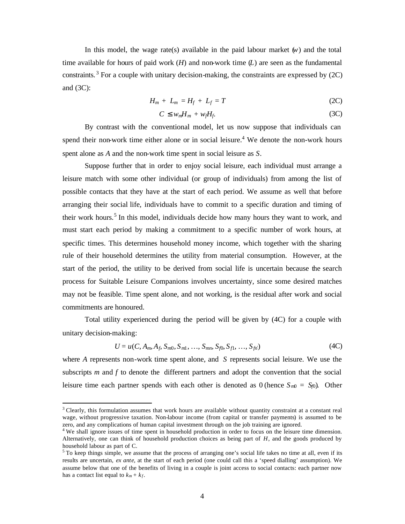In this model, the wage rate(s) available in the paid labour market  $(w)$  and the total time available for hours of paid work  $(H)$  and non-work time  $(L)$  are seen as the fundamental constraints.<sup>3</sup> For a couple with unitary decision-making, the constraints are expressed by  $(2C)$ and (3C):

$$
H_m + L_m = H_f + L_f = T \tag{2C}
$$

$$
C \le w_m H_m + w_f H_f. \tag{3C}
$$

By contrast with the conventional model, let us now suppose that individuals can spend their non-work time either alone or in social leisure.<sup>4</sup> We denote the non-work hours spent alone as *A* and the non-work time spent in social leisure as *S*.

Suppose further that in order to enjoy social leisure, each individual must arrange a leisure match with some other individual (or group of individuals) from among the list of possible contacts that they have at the start of each period. We assume as well that before arranging their social life, individuals have to commit to a specific duration and timing of their work hours.<sup>5</sup> In this model, individuals decide how many hours they want to work, and must start each period by making a commitment to a specific number of work hours, at specific times. This determines household money income, which together with the sharing rule of their household determines the utility from material consumption. However, at the start of the period, the utility to be derived from social life is uncertain because the search process for Suitable Leisure Companions involves uncertainty, since some desired matches may not be feasible. Time spent alone, and not working, is the residual after work and social commitments are honoured.

Total utility experienced during the period will be given by (4C) for a couple with unitary decision-making:

$$
U = u(C, A_m, A_f, S_{m0}, S_{m1}, \dots, S_{mn}, S_{f0}, S_{f1}, \dots, S_{fn})
$$
(4C)

where *A* represents non-work time spent alone, and *S* represents social leisure. We use the subscripts *m* and *f* to denote the different partners and adopt the convention that the social leisure time each partner spends with each other is denoted as 0 (hence  $S_{m0} = S_{f0}$ ). Other

<sup>&</sup>lt;sup>3</sup> Clearly, this formulation assumes that work hours are available without quantity constraint at a constant real wage, without progressive taxation. Non-labour income (from capital or transfer payments) is assumed to be zero, and any complications of human capital investment through on the job training are ignored.

<sup>&</sup>lt;sup>4</sup> We shall ignore issues of time spent in household production in order to focus on the leisure time dimension. Alternatively, one can think of household production choices as being part of *H*, and the goods produced by household labour as part of C.

 $5$  To keep things simple, we assume that the process of arranging one's social life takes no time at all, even if its results are uncertain, *ex ante*, at the start of each period (one could call this a 'speed dialling' assumption). We assume below that one of the benefits of living in a couple is joint access to social contacts: each partner now has a contact list equal to  $k_m + k_f$ .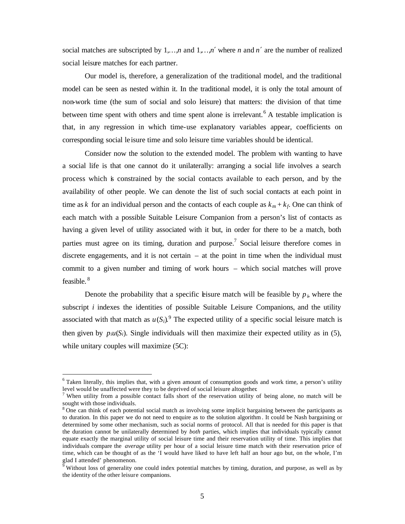social matches are subscripted by  $1, \ldots, n$  and  $1, \ldots, n'$  where *n* and *n'* are the number of realized social leisure matches for each partner.

Our model is, therefore, a generalization of the traditional model, and the traditional model can be seen as nested within it. In the traditional model, it is only the total amount of non-work time (the sum of social and solo leisure) that matters: the division of that time between time spent with others and time spent alone is irrelevant. <sup>6</sup> A testable implication is that, in any regression in which time-use explanatory variables appear, coefficients on corresponding social le isure time and solo leisure time variables should be identical.

Consider now the solution to the extended model. The problem with wanting to have a social life is that one cannot do it unilaterally: arranging a social life involves a search process which is constrained by the social contacts available to each person, and by the availability of other people. We can denote the list of such social contacts at each point in time as *k* for an individual person and the contacts of each couple as  $k_m + k_f$ . One can think of each match with a possible Suitable Leisure Companion from a person's list of contacts as having a given level of utility associated with it but, in order for there to be a match, both parties must agree on its timing, duration and purpose.<sup>7</sup> Social leisure therefore comes in discrete engagements, and it is not certain – at the point in time when the individual must commit to a given number and timing of work hours – which social matches will prove feasible. <sup>8</sup>

Denote the probability that a specific bisure match will be feasible by  $p_i$ , where the subscript *i* indexes the identities of possible Suitable Leisure Companions, and the utility associated with that match as  $u(S_i)$ <sup>9</sup> The expected utility of a specific social leisure match is then given by  $p_i u(S_i)$ . Single individuals will then maximize their expected utility as in (5), while unitary couples will maximize (5C):

 $6$  Taken literally, this implies that, with a given amount of consumption goods and work time, a person's utility level would be unaffected were they to be deprived of social leisure altogether.

<sup>&</sup>lt;sup>7</sup> When utility from a possible contact falls short of the reservation utility of being alone, no match will be sought with those individuals.

<sup>&</sup>lt;sup>8</sup> One can think of each potential social match as involving some implicit bargaining between the participants as to duration. In this paper we do not need to enquire as to the solution algorithm . It could be Nash bargaining or determined by some other mechanism, such as social norms of protocol. All that is needed for this paper is that the duration cannot be unilaterally determined by *both* parties, which implies that individuals typically cannot equate exactly the marginal utility of social leisure time and their reservation utility of time. This implies that individuals compare the *average* utility per hour of a social leisure time match with their reservation price of time, which can be thought of as the 'I would have liked to have left half an hour ago but, on the whole, I'm glad I attended' phenomenon.<br><sup>9</sup> Without loss of concrelity of

Without loss of generality one could index potential matches by timing, duration, and purpose, as well as by the identity of the other leisure companions.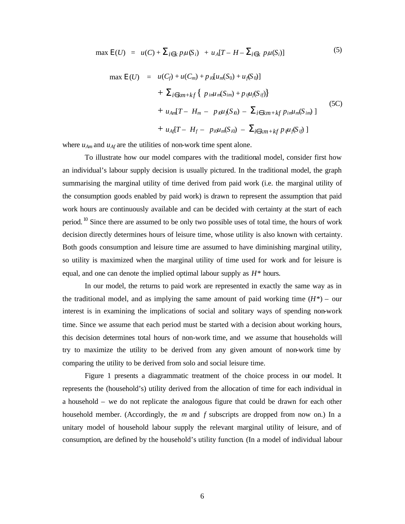$$
\max \mathbf{E}(U) = u(C) + \sum_{i} \hat{\mathbf{I}}_{k} p_{i} u(S_{i}) + u_{A}[T - H - \sum_{i} \hat{\mathbf{I}}_{k} p_{i} u(S_{i})]
$$
(5)

$$
\max \mathbf{E}(U) = u(C_f) + u(C_m) + p_{i0}[u_m(S_0) + u_f(S_0)]
$$
  
+  $\sum_{i \in km+kf} \{ p_{in}u_m(S_{im}) + p_{ij}u_f(S_{if}) \}$   
+  $u_{Am}[T - H_m - p_{i0}u_f(S_0) - \sum_{i \in km+kf} p_{im}u_m(S_{im}) ]$  (5C)  
+  $u_{Af}[T - H_f - p_{i0}u_m(S_{i0}) - \sum_{i \in km+kf} p_{ij}u_f(S_{if}) ]$ 

where  $u_{Am}$  and  $u_{Af}$  are the utilities of non-work time spent alone.

To illustrate how our model compares with the traditional model, consider first how an individual's labour supply decision is usually pictured. In the traditional model, the graph summarising the marginal utility of time derived from paid work (i.e. the marginal utility of the consumption goods enabled by paid work) is drawn to represent the assumption that paid work hours are continuously available and can be decided with certainty at the start of each period.  $^{10}$  Since there are assumed to be only two possible uses of total time, the hours of work decision directly determines hours of leisure time, whose utility is also known with certainty. Both goods consumption and leisure time are assumed to have diminishing marginal utility, so utility is maximized when the marginal utility of time used for work and for leisure is equal, and one can denote the implied optimal labour supply as *H*\* hours.

In our model, the returns to paid work are represented in exactly the same way as in the traditional model, and as implying the same amount of paid working time  $(H^*)$  – our interest is in examining the implications of social and solitary ways of spending non-work time. Since we assume that each period must be started with a decision about working hours, this decision determines total hours of non-work time, and we assume that households will try to maximize the utility to be derived from any given amount of non-work time by comparing the utility to be derived from solo and social leisure time.

Figure 1 presents a diagrammatic treatment of the choice process in our model. It represents the (household's) utility derived from the allocation of time for each individual in a household – we do not replicate the analogous figure that could be drawn for each other household member. (Accordingly, the *m* and *f* subscripts are dropped from now on.) In a unitary model of household labour supply the relevant marginal utility of leisure, and of consumption, are defined by the household's utility function. (In a model of individual labour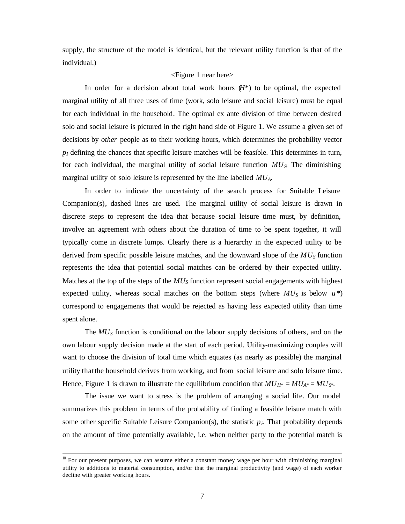supply, the structure of the model is identical, but the relevant utility function is that of the individual.)

#### <Figure 1 near here>

In order for a decision about total work hours  $(H^*)$  to be optimal, the expected marginal utility of all three uses of time (work, solo leisure and social leisure) must be equal for each individual in the household. The optimal ex ante division of time between desired solo and social leisure is pictured in the right hand side of Figure 1. We assume a given set of decisions by *other* people as to their working hours, which determines the probability vector  $p_i$  defining the chances that specific leisure matches will be feasible. This determines in turn, for each individual, the marginal utility of social leisure function *MUS.* The diminishing marginal utility of solo leisure is represented by the line labelled *MUA*.

In order to indicate the uncertainty of the search process for Suitable Leisure Companion(s), dashed lines are used. The marginal utility of social leisure is drawn in discrete steps to represent the idea that because social leisure time must, by definition, involve an agreement with others about the duration of time to be spent together, it will typically come in discrete lumps. Clearly there is a hierarchy in the expected utility to be derived from specific possible leisure matches, and the downward slope of the *MUS* function represents the idea that potential social matches can be ordered by their expected utility. Matches at the top of the steps of the *MUS* function represent social engagements with highest expected utility, whereas social matches on the bottom steps (where  $MU<sub>S</sub>$  is below  $u^*$ ) correspond to engagements that would be rejected as having less expected utility than time spent alone.

The *MUS* function is conditional on the labour supply decisions of others, and on the own labour supply decision made at the start of each period. Utility-maximizing couples will want to choose the division of total time which equates (as nearly as possible) the marginal utility that the household derives from working, and from social leisure and solo leisure time. Hence, Figure 1 is drawn to illustrate the equilibrium condition that  $MU_{H^*} = MU_{A^*} = MU_{S^*}$ .

The issue we want to stress is the problem of arranging a social life. Our model summarizes this problem in terms of the probability of finding a feasible leisure match with some other specific Suitable Leisure Companion(s), the statistic  $p_i$ . That probability depends on the amount of time potentially available, i.e. when neither party to the potential match is

<sup>&</sup>lt;sup>10</sup> For our present purposes, we can assume either a constant money wage per hour with diminishing marginal utility to additions to material consumption, and/or that the marginal productivity (and wage) of each worker decline with greater working hours.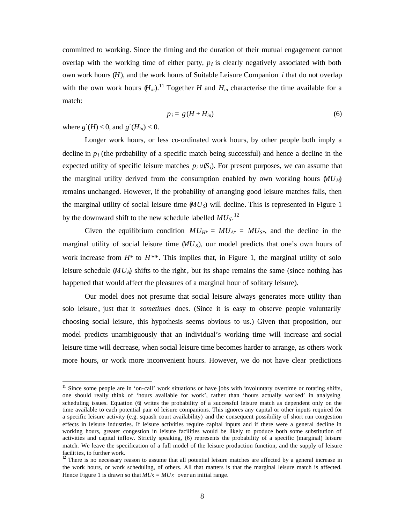committed to working. Since the timing and the duration of their mutual engagement cannot overlap with the working time of either party,  $p_i$  is clearly negatively associated with both own work hours (*H*), and the work hours of Suitable Leisure Companion *i* that do not overlap with the own work hours  $(H_{in})$ .<sup>11</sup> Together *H* and  $H_{in}$  characterise the time available for a match:

$$
p_i = g(H + H_{in})
$$
\n<sup>(6)</sup>

where  $g'(H) < 0$ , and  $g'(H<sub>in</sub>) < 0$ .

 $\overline{a}$ 

Longer work hours, or less co-ordinated work hours, by other people both imply a decline in  $p_i$  (the probability of a specific match being successful) and hence a decline in the expected utility of specific leisure matches  $p_i u(S_i)$ . For present purposes, we can assume that the marginal utility derived from the consumption enabled by own working hours  $\langle M U_H \rangle$ remains unchanged. However, if the probability of arranging good leisure matches falls, then the marginal utility of social leisure time  $M U<sub>S</sub>$ ) will decline. This is represented in Figure 1 by the downward shift to the new schedule labelled  $MU_{S}$ <sup>12</sup>

Given the equilibrium condition  $MU_{H^*} = MU_{A^*} = MU_{S^*}$ , and the decline in the marginal utility of social leisure time  $(MU<sub>S</sub>)$ , our model predicts that one's own hours of work increase from  $H^*$  to  $H^{**}$ . This implies that, in Figure 1, the marginal utility of solo leisure schedule  $(MU_A)$  shifts to the right, but its shape remains the same (since nothing has happened that would affect the pleasures of a marginal hour of solitary leisure).

Our model does not presume that social leisure always generates more utility than solo leisure , just that it *sometimes* does. (Since it is easy to observe people voluntarily choosing social leisure, this hypothesis seems obvious to us.) Given that proposition, our model predicts unambiguously that an individual's working time will increase and social leisure time will decrease, when social leisure time becomes harder to arrange, as others work more hours, or work more inconvenient hours. However, we do not have clear predictions

<sup>&</sup>lt;sup>11</sup> Since some people are in 'on-call' work situations or have jobs with involuntary overtime or rotating shifts, one should really think of 'hours available for work', rather than 'hours actually worked' in analysing scheduling issues. Equation (6) writes the probability of a successful leisure match as dependent only on the time available to each potential pair of leisure companions. This ignores any capital or other inputs required for a specific leisure activity (e.g. squash court availability) and the consequent possibility of short run congestion effects in leisure industries. If leisure activities require capital inputs and if there were a general decline in working hours, greater congestion in leisure facilities would be likely to produce both some substitution of activities and capital inflow. Strictly speaking, (6) represents the probability of a specific (marginal) leisure match. We leave the specification of a full model of the leisure production function, and the supply of leisure facilit ies, to further work.

 $12$  There is no necessary reason to assume that all potential leisure matches are affected by a general increase in the work hours, or work scheduling, of others. All that matters is that the marginal leisure match is affected. Hence Figure 1 is drawn so that  $MU<sub>S</sub> = MU<sub>S</sub>c$  over an initial range.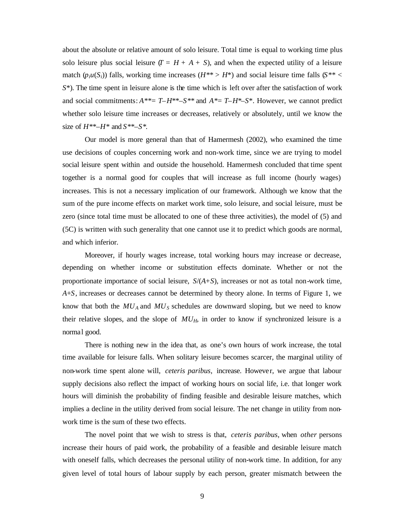about the absolute or relative amount of solo leisure. Total time is equal to working time plus solo leisure plus social leisure  $(T = H + A + S)$ , and when the expected utility of a leisure match  $(p_iu(S_i))$  falls, working time increases  $(H^{**} > H^*)$  and social leisure time falls  $(S^{**} <$ *S*\*). The time spent in leisure alone is the time which is left over after the satisfaction of work and social commitments: *A*\*\*= *T*–*H*\*\*–*S*\*\* and *A*\*= *T*–*H*\*–*S*\*. However, we cannot predict whether solo leisure time increases or decreases, relatively or absolutely, until we know the size of  $H^{**} - H^*$  and  $S^{**} - S^*$ .

Our model is more general than that of Hamermesh (2002), who examined the time use decisions of couples concerning work and non-work time, since we are trying to model social leisure spent within and outside the household. Hamermesh concluded that time spent together is a normal good for couples that will increase as full income (hourly wages) increases. This is not a necessary implication of our framework. Although we know that the sum of the pure income effects on market work time, solo leisure, and social leisure, must be zero (since total time must be allocated to one of these three activities), the model of (5) and (5C) is written with such generality that one cannot use it to predict which goods are normal, and which inferior.

Moreover, if hourly wages increase, total working hours may increase or decrease, depending on whether income or substitution effects dominate. Whether or not the proportionate importance of social leisure, *S*/(*A*+*S*), increases or not as total non-work time, *A*+*S*, increases or decreases cannot be determined by theory alone. In terms of Figure 1, we know that both the *MUA* and *MUS* schedules are downward sloping, but we need to know their relative slopes, and the slope of  $MU_H$ , in order to know if synchronized leisure is a normal good.

There is nothing new in the idea that, as one's own hours of work increase, the total time available for leisure falls. When solitary leisure becomes scarcer, the marginal utility of non-work time spent alone will, *ceteris paribus,* increase. Howeve r, we argue that labour supply decisions also reflect the impact of working hours on social life, i.e. that longer work hours will diminish the probability of finding feasible and desirable leisure matches, which implies a decline in the utility derived from social leisure. The net change in utility from nonwork time is the sum of these two effects.

The novel point that we wish to stress is that, *ceteris paribus*, when *other* persons increase their hours of paid work, the probability of a feasible and desirable leisure match with oneself falls, which decreases the personal utility of non-work time. In addition, for any given level of total hours of labour supply by each person, greater mismatch between the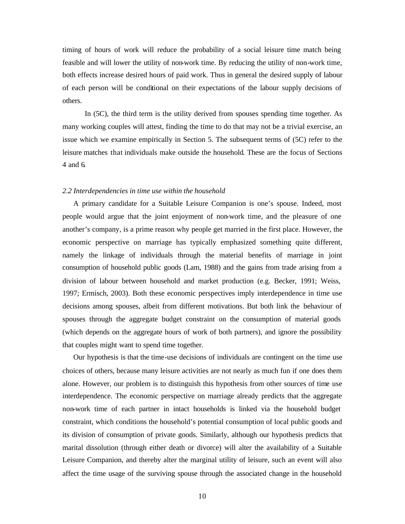timing of hours of work will reduce the probability of a social leisure time match being feasible and will lower the utility of non-work time. By reducing the utility of non-work time, both effects increase desired hours of paid work. Thus in general the desired supply of labour of each person will be conditional on their expectations of the labour supply decisions of others.

In (5C), the third term is the utility derived from spouses spending time together. As many working couples will attest, finding the time to do that may not be a trivial exercise, an issue which we examine empirically in Section 5. The subsequent terms of (5C) refer to the leisure matches that individuals make outside the household. These are the focus of Sections 4 and 6.

#### *2.2 Interdependencies in time use within the household*

A primary candidate for a Suitable Leisure Companion is one's spouse. Indeed, most people would argue that the joint enjoyment of non-work time, and the pleasure of one another's company, is a prime reason why people get married in the first place. However, the economic perspective on marriage has typically emphasized something quite different, namely the linkage of individuals through the material benefits of marriage in joint consumption of household public goods (Lam, 1988) and the gains from trade arising from a division of labour between household and market production (e.g. Becker, 1991; Weiss, 1997; Ermisch, 2003). Both these economic perspectives imply interdependence in time use decisions among spouses, albeit from different motivations. But both link the behaviour of spouses through the aggregate budget constraint on the consumption of material goods (which depends on the aggregate hours of work of both partners), and ignore the possibility that couples might want to spend time together.

Our hypothesis is that the time-use decisions of individuals are contingent on the time use choices of others, because many leisure activities are not nearly as much fun if one does them alone. However, our problem is to distinguish this hypothesis from other sources of time use interdependence. The economic perspective on marriage already predicts that the aggregate non-work time of each partner in intact households is linked via the household budget constraint, which conditions the household's potential consumption of local public goods and its division of consumption of private goods. Similarly, although our hypothesis predicts that marital dissolution (through either death or divorce) will alter the availability of a Suitable Leisure Companion, and thereby alter the marginal utility of leisure, such an event will also affect the time usage of the surviving spouse through the associated change in the household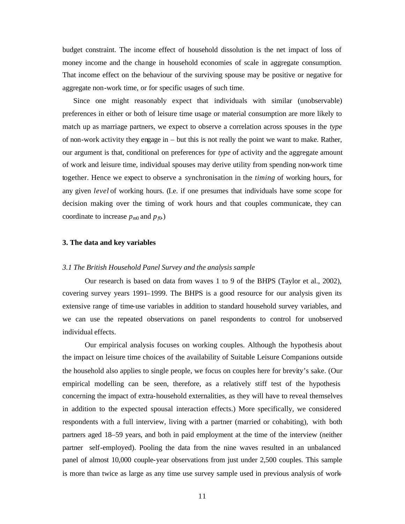budget constraint. The income effect of household dissolution is the net impact of loss of money income and the change in household economies of scale in aggregate consumption. That income effect on the behaviour of the surviving spouse may be positive or negative for aggregate non-work time, or for specific usages of such time.

Since one might reasonably expect that individuals with similar (unobservable) preferences in either or both of leisure time usage or material consumption are more likely to match up as marriage partners, we expect to observe a correlation across spouses in the *type* of non-work activity they engage in – but this is not really the point we want to make. Rather, our argument is that, conditional on preferences for *type* of activity and the aggregate amount of work and leisure time, individual spouses may derive utility from spending non-work time together. Hence we expect to observe a synchronisation in the *timing* of working hours, for any given *level* of working hours. (I.e. if one presumes that individuals have some scope for decision making over the timing of work hours and that couples communicate, they can coordinate to increase  $p_{m0}$  and  $p_{f0}$ .)

#### **3. The data and key variables**

#### *3.1 The British Household Panel Survey and the analysis sample*

Our research is based on data from waves 1 to 9 of the BHPS (Taylor et al., 2002), covering survey years 1991–1999. The BHPS is a good resource for our analysis given its extensive range of time-use variables in addition to standard household survey variables, and we can use the repeated observations on panel respondents to control for unobserved individual effects.

Our empirical analysis focuses on working couples. Although the hypothesis about the impact on leisure time choices of the availability of Suitable Leisure Companions outside the household also applies to single people, we focus on couples here for brevity's sake. (Our empirical modelling can be seen, therefore, as a relatively stiff test of the hypothesis concerning the impact of extra-household externalities, as they will have to reveal themselves in addition to the expected spousal interaction effects.) More specifically, we considered respondents with a full interview, living with a partner (married or cohabiting), with both partners aged 18–59 years, and both in paid employment at the time of the interview (neither partner self-employed). Pooling the data from the nine waves resulted in an unbalanced panel of almost 10,000 couple-year observations from just under 2,500 couples. This sample is more than twice as large as any time use survey sample used in previous analysis of work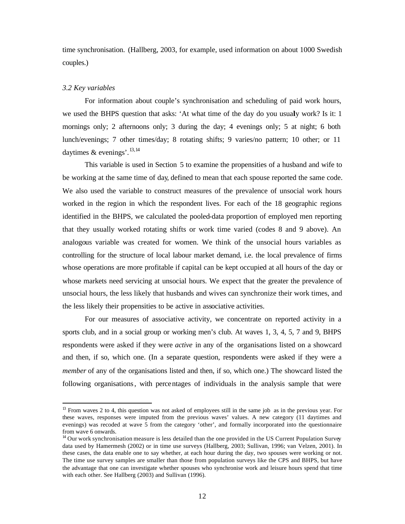time synchronisation. (Hallberg, 2003, for example, used information on about 1000 Swedish couples.)

#### *3.2 Key variables*

 $\overline{a}$ 

For information about couple's synchronisation and scheduling of paid work hours, we used the BHPS question that asks: 'At what time of the day do you usually work? Is it: 1 mornings only; 2 afternoons only; 3 during the day; 4 evenings only; 5 at night; 6 both lunch/evenings; 7 other times/day; 8 rotating shifts; 9 varies/no pattern; 10 other; or 11 daytimes  $\&$  evenings'.<sup>13,14</sup>

This variable is used in Section 5 to examine the propensities of a husband and wife to be working at the same time of day, defined to mean that each spouse reported the same code. We also used the variable to construct measures of the prevalence of unsocial work hours worked in the region in which the respondent lives. For each of the 18 geographic regions identified in the BHPS, we calculated the pooled-data proportion of employed men reporting that they usually worked rotating shifts or work time varied (codes 8 and 9 above). An analogous variable was created for women. We think of the unsocial hours variables as controlling for the structure of local labour market demand, i.e. the local prevalence of firms whose operations are more profitable if capital can be kept occupied at all hours of the day or whose markets need servicing at unsocial hours. We expect that the greater the prevalence of unsocial hours, the less likely that husbands and wives can synchronize their work times, and the less likely their propensities to be active in associative activities.

For our measures of associative activity, we concentrate on reported activity in a sports club, and in a social group or working men's club. At waves 1, 3, 4, 5, 7 and 9, BHPS respondents were asked if they were *active* in any of the organisations listed on a showcard and then, if so, which one. (In a separate question, respondents were asked if they were a *member* of any of the organisations listed and then, if so, which one.) The showcard listed the following organisations, with percentages of individuals in the analysis sample that were

<sup>&</sup>lt;sup>13</sup> From waves 2 to 4, this question was not asked of employees still in the same job as in the previous year. For these waves, responses were imputed from the previous waves' values. A new category (11 daytimes and evenings) was recoded at wave 5 from the category 'other', and formally incorporated into the questionnaire from wave 6 onwards.

 $<sup>14</sup>$  Our work synchronisation measure is less detailed than the one provided in the US Current Population Survey</sup> data used by Hamermesh (2002) or in time use surveys (Hallberg, 2003; Sullivan, 1996; van Velzen, 2001). In these cases, the data enable one to say whether, at each hour during the day, two spouses were working or not. The time use survey samples are smaller than those from population surveys like the CPS and BHPS, but have the advantage that one can investigate whether spouses who synchronise work and leisure hours spend that time with each other. See Hallberg (2003) and Sullivan (1996).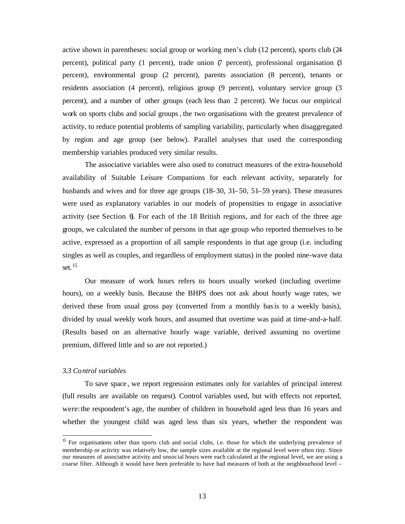active shown in parentheses: social group or working men's club (12 percent), sports club (24 percent), political party (1 percent), trade union  $\sigma$  percent), professional organisation  $\sigma$ percent), environmental group (2 percent), parents association (8 percent), tenants or residents association (4 percent), religious group (9 percent), voluntary service group (3 percent), and a number of other groups (each less than 2 percent). We focus our empirical work on sports clubs and social groups, the two organisations with the greatest prevalence of activity, to reduce potential problems of sampling variability, particularly when disaggregated by region and age group (see below). Parallel analyses that used the corresponding membership variables produced very similar results.

The associative variables were also used to construct measures of the extra-household availability of Suitable Leisure Companions for each relevant activity, separately for husbands and wives and for three age groups (18–30, 31–50, 51–59 years). These measures were used as explanatory variables in our models of propensities to engage in associative activity (see Section 6). For each of the 18 British regions, and for each of the three age groups, we calculated the number of persons in that age group who reported themselves to be active, expressed as a proportion of all sample respondents in that age group (i.e. including singles as well as couples, and regardless of employment status) in the pooled nine-wave data set.  $^{15}$ 

Our measure of work hours refers to hours usually worked (including overtime hours), on a weekly basis. Because the BHPS does not ask about hourly wage rates, we derived these from usual gross pay (converted from a monthly basis to a weekly basis), divided by usual weekly work hours, and assumed that overtime was paid at time-and-a-half. (Results based on an alternative hourly wage variable, derived assuming no overtime premium, differed little and so are not reported.)

#### *3.3 Control variables*

 $\overline{a}$ 

To save space , we report regression estimates only for variables of principal interest (full results are available on request). Control variables used, but with effects not reported, were: the respondent's age, the number of children in household aged less than 16 years and whether the youngest child was aged less than six years, whether the respondent was

<sup>&</sup>lt;sup>15</sup> For organisations other than sports club and social clubs, i.e. those for which the underlying prevalence of membership or activity was relatively low, the sample sizes available at the regional level were often tiny. Since our measures of associative activity and unsocial hours were each calculated at the regional level, we are using a coarse filter. Although it would have been preferable to have had measures of both at the neighbourhood level –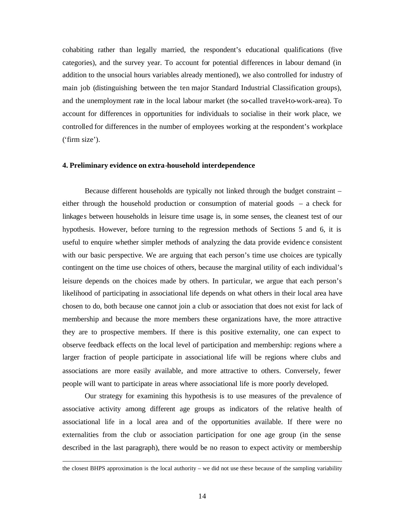cohabiting rather than legally married, the respondent's educational qualifications (five categories), and the survey year. To account for potential differences in labour demand (in addition to the unsocial hours variables already mentioned), we also controlled for industry of main job (distinguishing between the ten major Standard Industrial Classification groups), and the unemployment rate in the local labour market (the so-called travel-to-work-area). To account for differences in opportunities for individuals to socialise in their work place, we controlled for differences in the number of employees working at the respondent's workplace ('firm size').

#### **4. Preliminary evidence on extra-household interdependence**

Because different households are typically not linked through the budget constraint – either through the household production or consumption of material goods – a check for linkages between households in leisure time usage is, in some senses, the cleanest test of our hypothesis. However, before turning to the regression methods of Sections 5 and 6, it is useful to enquire whether simpler methods of analyzing the data provide evidenc e consistent with our basic perspective. We are arguing that each person's time use choices are typically contingent on the time use choices of others, because the marginal utility of each individual's leisure depends on the choices made by others. In particular, we argue that each person's likelihood of participating in associational life depends on what others in their local area have chosen to do, both because one cannot join a club or association that does not exist for lack of membership and because the more members these organizations have, the more attractive they are to prospective members. If there is this positive externality, one can expect to observe feedback effects on the local level of participation and membership: regions where a larger fraction of people participate in associational life will be regions where clubs and associations are more easily available, and more attractive to others. Conversely, fewer people will want to participate in areas where associational life is more poorly developed.

Our strategy for examining this hypothesis is to use measures of the prevalence of associative activity among different age groups as indicators of the relative health of associational life in a local area and of the opportunities available. If there were no externalities from the club or association participation for one age group (in the sense described in the last paragraph), there would be no reason to expect activity or membership

the closest BHPS approximation is the local authority – we did not use these because of the sampling variability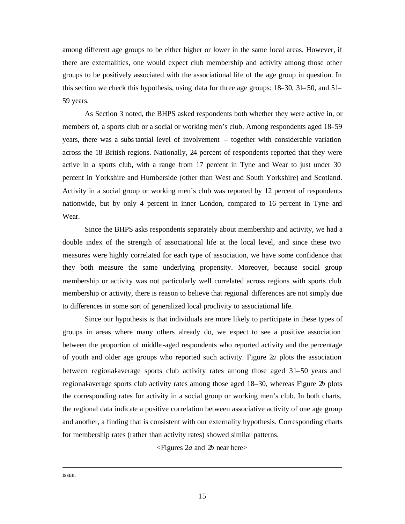among different age groups to be either higher or lower in the same local areas. However, if there are externalities, one would expect club membership and activity among those other groups to be positively associated with the associational life of the age group in question. In this section we check this hypothesis, using data for three age groups: 18–30, 31–50, and 51– 59 years.

As Section 3 noted, the BHPS asked respondents both whether they were active in, or members of, a sports club or a social or working men's club. Among respondents aged 18–59 years, there was a substantial level of involvement – together with considerable variation across the 18 British regions. Nationally, 24 percent of respondents reported that they were active in a sports club, with a range from 17 percent in Tyne and Wear to just under 30 percent in Yorkshire and Humberside (other than West and South Yorkshire) and Scotland. Activity in a social group or working men's club was reported by 12 percent of respondents nationwide, but by only 4 percent in inner London, compared to 16 percent in Tyne and Wear.

Since the BHPS asks respondents separately about membership and activity, we had a double index of the strength of associational life at the local level, and since these two measures were highly correlated for each type of association, we have some confidence that they both measure the same underlying propensity. Moreover, because social group membership or activity was not particularly well correlated across regions with sports club membership or activity, there is reason to believe that regional differences are not simply due to differences in some sort of generalized local proclivity to associational life.

Since our hypothesis is that individuals are more likely to participate in these types of groups in areas where many others already do, we expect to see a positive association between the proportion of middle -aged respondents who reported activity and the percentage of youth and older age groups who reported such activity. Figure 2*a* plots the association between regional-average sports club activity rates among those aged 31–50 years and regional-average sports club activity rates among those aged 18–30, whereas Figure 2*b* plots the corresponding rates for activity in a social group or working men's club. In both charts, the regional data indicate a positive correlation between associative activity of one age group and another, a finding that is consistent with our externality hypothesis. Corresponding charts for membership rates (rather than activity rates) showed similar patterns.

<Figures 2*a* and 2*b* near here>

issue.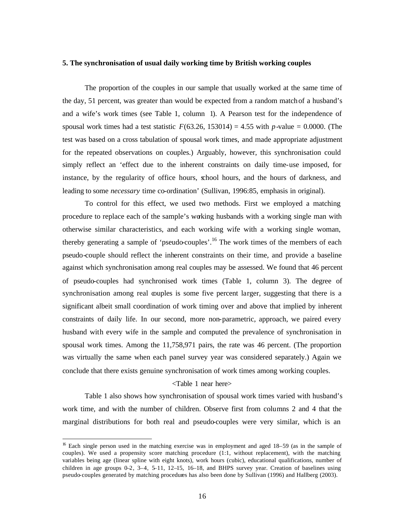#### **5. The synchronisation of usual daily working time by British working couples**

The proportion of the couples in our sample that usually worked at the same time of the day, 51 percent, was greater than would be expected from a random match of a husband's and a wife's work times (see Table 1, column 1). A Pearson test for the independence of spousal work times had a test statistic  $F(63.26, 153014) = 4.55$  with *p*-value = 0.0000. (The test was based on a cross tabulation of spousal work times, and made appropriate adjustment for the repeated observations on couples.) Arguably, however, this synchronisation could simply reflect an 'effect due to the inherent constraints on daily time-use imposed, for instance, by the regularity of office hours, school hours, and the hours of darkness, and leading to some *necessary* time co-ordination' (Sullivan, 1996:85, emphasis in original).

To control for this effect, we used two methods. First we employed a matching procedure to replace each of the sample's working husbands with a working single man with otherwise similar characteristics, and each working wife with a working single woman, thereby generating a sample of 'pseudo-couples'.<sup>16</sup> The work times of the members of each pseudo-couple should reflect the inherent constraints on their time, and provide a baseline against which synchronisation among real couples may be assessed. We found that 46 percent of pseudo-couples had synchronised work times (Table 1, column 3). The degree of synchronisation among real couples is some five percent larger, suggesting that there is a significant albeit small coordination of work timing over and above that implied by inherent constraints of daily life. In our second, more non-parametric, approach, we paired every husband with every wife in the sample and computed the prevalence of synchronisation in spousal work times. Among the 11,758,971 pairs, the rate was 46 percent. (The proportion was virtually the same when each panel survey year was considered separately.) Again we conclude that there exists genuine synchronisation of work times among working couples.

#### <Table 1 near here>

Table 1 also shows how synchronisation of spousal work times varied with husband's work time, and with the number of children. Observe first from columns 2 and 4 that the marginal distributions for both real and pseudo-couples were very similar, which is an

 $^{16}$  Each single person used in the matching exercise was in employment and aged 18–59 (as in the sample of couples). We used a propensity score matching procedure (1:1, without replacement), with the matching variables being age (linear spline with eight knots), work hours (cubic), educational qualifications, number of children in age groups 0–2, 3–4, 5–11, 12–15, 16–18, and BHPS survey year. Creation of baselines using pseudo-couples generated by matching procedures has also been done by Sullivan (1996) and Hallberg (2003).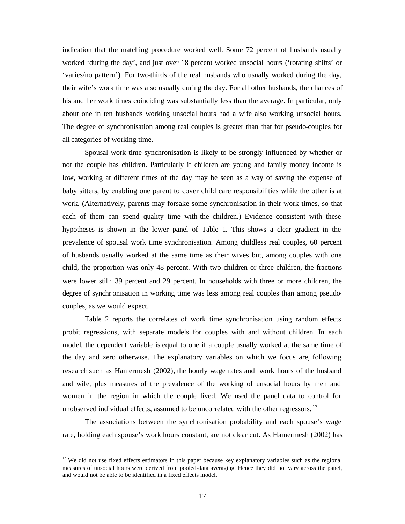indication that the matching procedure worked well. Some 72 percent of husbands usually worked 'during the day', and just over 18 percent worked unsocial hours ('rotating shifts' or 'varies/no pattern'). For two-thirds of the real husbands who usually worked during the day, their wife's work time was also usually during the day. For all other husbands, the chances of his and her work times coinciding was substantially less than the average. In particular, only about one in ten husbands working unsocial hours had a wife also working unsocial hours. The degree of synchronisation among real couples is greater than that for pseudo-couples for all categories of working time.

Spousal work time synchronisation is likely to be strongly influenced by whether or not the couple has children. Particularly if children are young and family money income is low, working at different times of the day may be seen as a way of saving the expense of baby sitters, by enabling one parent to cover child care responsibilities while the other is at work. (Alternatively, parents may forsake some synchronisation in their work times, so that each of them can spend quality time with the children.) Evidence consistent with these hypotheses is shown in the lower panel of Table 1. This shows a clear gradient in the prevalence of spousal work time synchronisation. Among childless real couples, 60 percent of husbands usually worked at the same time as their wives but, among couples with one child, the proportion was only 48 percent. With two children or three children, the fractions were lower still: 39 percent and 29 percent. In households with three or more children, the degree of synchr onisation in working time was less among real couples than among pseudocouples, as we would expect.

Table 2 reports the correlates of work time synchronisation using random effects probit regressions, with separate models for couples with and without children. In each model, the dependent variable is equal to one if a couple usually worked at the same time of the day and zero otherwise. The explanatory variables on which we focus are, following research such as Hamermesh (2002), the hourly wage rates and work hours of the husband and wife, plus measures of the prevalence of the working of unsocial hours by men and women in the region in which the couple lived. We used the panel data to control for unobserved individual effects, assumed to be uncorrelated with the other regressors. <sup>17</sup>

The associations between the synchronisation probability and each spouse's wage rate, holding each spouse's work hours constant, are not clear cut. As Hamermesh (2002) has

 $17$  We did not use fixed effects estimators in this paper because key explanatory variables such as the regional measures of unsocial hours were derived from pooled-data averaging. Hence they did not vary across the panel, and would not be able to be identified in a fixed effects model.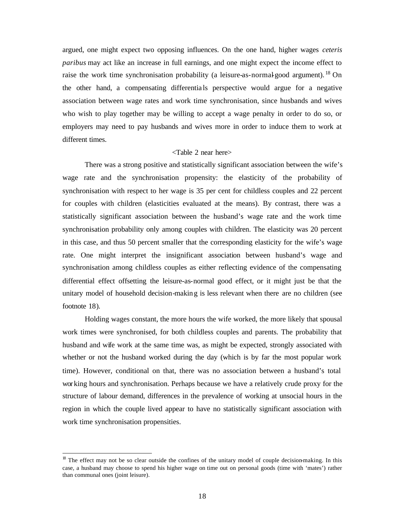argued, one might expect two opposing influences. On the one hand, higher wages *ceteris paribus* may act like an increase in full earnings, and one might expect the income effect to raise the work time synchronisation probability (a leisure-as-normal-good argument). <sup>18</sup> On the other hand, a compensating differentia ls perspective would argue for a negative association between wage rates and work time synchronisation, since husbands and wives who wish to play together may be willing to accept a wage penalty in order to do so, or employers may need to pay husbands and wives more in order to induce them to work at different times.

#### <Table 2 near here>

There was a strong positive and statistically significant association between the wife's wage rate and the synchronisation propensity: the elasticity of the probability of synchronisation with respect to her wage is 35 per cent for childless couples and 22 percent for couples with children (elasticities evaluated at the means). By contrast, there was a statistically significant association between the husband's wage rate and the work time synchronisation probability only among couples with children. The elasticity was 20 percent in this case, and thus 50 percent smaller that the corresponding elasticity for the wife's wage rate. One might interpret the insignificant association between husband's wage and synchronisation among childless couples as either reflecting evidence of the compensating differential effect offsetting the leisure-as-normal good effect, or it might just be that the unitary model of household decision-makin g is less relevant when there are no children (see footnote 18).

Holding wages constant, the more hours the wife worked, the more likely that spousal work times were synchronised, for both childless couples and parents. The probability that husband and wife work at the same time was, as might be expected, strongly associated with whether or not the husband worked during the day (which is by far the most popular work time). However, conditional on that, there was no association between a husband's total wor king hours and synchronisation. Perhaps because we have a relatively crude proxy for the structure of labour demand, differences in the prevalence of working at unsocial hours in the region in which the couple lived appear to have no statistically significant association with work time synchronisation propensities.

<sup>&</sup>lt;sup>18</sup> The effect may not be so clear outside the confines of the unitary model of couple decision-making. In this case, a husband may choose to spend his higher wage on time out on personal goods (time with 'mates') rather than communal ones (joint leisure).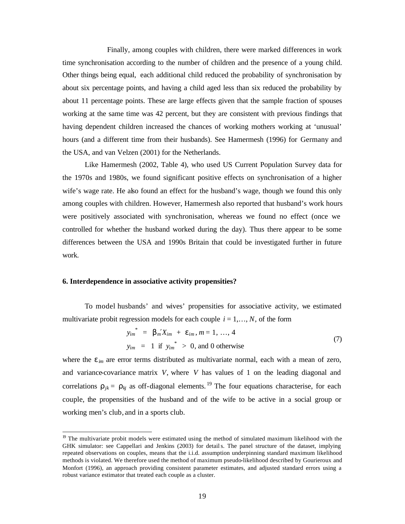Finally, among couples with children, there were marked differences in work time synchronisation according to the number of children and the presence of a young child. Other things being equal, each additional child reduced the probability of synchronisation by about six percentage points, and having a child aged less than six reduced the probability by about 11 percentage points. These are large effects given that the sample fraction of spouses working at the same time was 42 percent, but they are consistent with previous findings that having dependent children increased the chances of working mothers working at 'unusual' hours (and a different time from their husbands). See Hamermesh (1996) for Germany and the USA, and van Velzen (2001) for the Netherlands.

Like Hamermesh (2002, Table 4), who used US Current Population Survey data for the 1970s and 1980s, we found significant positive effects on synchronisation of a higher wife's wage rate. He also found an effect for the husband's wage, though we found this only among couples with children. However, Hamermesh also reported that husband's work hours were positively associated with synchronisation, whereas we found no effect (once we controlled for whether the husband worked during the day). Thus there appear to be some differences between the USA and 1990s Britain that could be investigated further in future work.

#### **6. Interdependence in associative activity propensities?**

 $\overline{a}$ 

To model husbands' and wives' propensities for associative activity, we estimated multivariate probit regression models for each couple  $i = 1, \ldots, N$ , of the form

$$
y_{im}^* = \beta_m' X_{im} + \varepsilon_{im}, m = 1, ..., 4
$$
  
\n
$$
y_{im} = 1 \text{ if } y_{im}^* > 0, \text{ and } 0 \text{ otherwise}
$$
 (7)

where the  $\varepsilon_{im}$  are error terms distributed as multivariate normal, each with a mean of zero, and variance-covariance matrix *V*, where *V* has values of 1 on the leading diagonal and correlations  $r_{ik} = r_{ki}$  as off-diagonal elements.<sup>19</sup> The four equations characterise, for each couple, the propensities of the husband and of the wife to be active in a social group or working men's club, and in a sports club.

<sup>&</sup>lt;sup>19</sup> The multivariate probit models were estimated using the method of simulated maximum likelihood with the GHK simulator: see Cappellari and Jenkins (2003) for details. The panel structure of the dataset, implying repeated observations on couples, means that the i.i.d. assumption underpinning standard maximum likelihood methods is violated. We therefore used the method of maximum pseudo-likelihood described by Gourieroux and Monfort (1996), an approach providing consistent parameter estimates, and adjusted standard errors using a robust variance estimator that treated each couple as a cluster.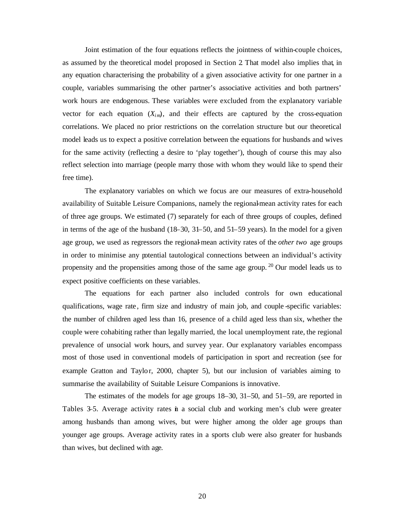Joint estimation of the four equations reflects the jointness of within-couple choices, as assumed by the theoretical model proposed in Section 2. That model also implies that, in any equation characterising the probability of a given associative activity for one partner in a couple, variables summarising the other partner's associative activities and both partners' work hours are endogenous. These variables were excluded from the explanatory variable vector for each equation  $(X_{im})$ , and their effects are captured by the cross-equation correlations. We placed no prior restrictions on the correlation structure but our theoretical model leads us to expect a positive correlation between the equations for husbands and wives for the same activity (reflecting a desire to 'play together'), though of course this may also reflect selection into marriage (people marry those with whom they would like to spend their free time).

The explanatory variables on which we focus are our measures of extra-household availability of Suitable Leisure Companions, namely the regional-mean activity rates for each of three age groups. We estimated (7) separately for each of three groups of couples, defined in terms of the age of the husband (18–30, 31–50, and 51–59 years). In the model for a given age group, we used as regressors the regional-mean activity rates of the *other two* age groups in order to minimise any potential tautological connections between an individual's activity propensity and the propensities among those of the same age group.  $20$  Our model leads us to expect positive coefficients on these variables.

The equations for each partner also included controls for own educational qualifications, wage rate , firm size and industry of main job, and couple -specific variables: the number of children aged less than 16, presence of a child aged less than six, whether the couple were cohabiting rather than legally married, the local unemployment rate, the regional prevalence of unsocial work hours, and survey year. Our explanatory variables encompass most of those used in conventional models of participation in sport and recreation (see for example Gratton and Taylor, 2000, chapter 5), but our inclusion of variables aiming to summarise the availability of Suitable Leisure Companions is innovative.

The estimates of the models for age groups 18–30, 31–50, and 51–59, are reported in Tables 3–5. Average activity rates in a social club and working men's club were greater among husbands than among wives, but were higher among the older age groups than younger age groups. Average activity rates in a sports club were also greater for husbands than wives, but declined with age.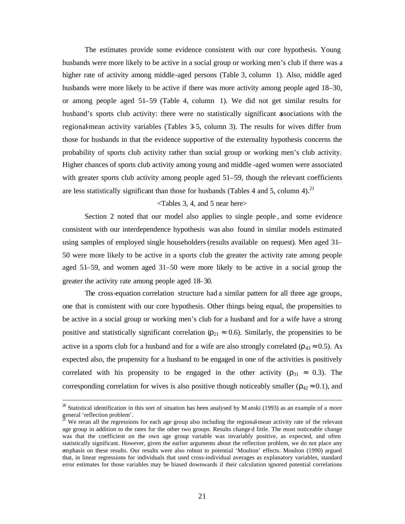The estimates provide some evidence consistent with our core hypothesis. Young husbands were more likely to be active in a social group or working men's club if there was a higher rate of activity among middle-aged persons (Table 3, column 1). Also, middle aged husbands were more likely to be active if there was more activity among people aged 18–30, or among people aged 51–59 (Table 4, column 1). We did not get similar results for husband's sports club activity: there were no statistically significant associations with the regional-mean activity variables (Tables 3–5, column 3). The results for wives differ from those for husbands in that the evidence supportive of the externality hypothesis concerns the probability of sports club activity rather than social group or working men's club activity. Higher chances of sports club activity among young and middle -aged women were associated with greater sports club activity among people aged 51–59, though the relevant coefficients are less statistically significant than those for husbands (Tables 4 and 5, column 4).<sup>21</sup>

#### <Tables 3, 4, and 5 near here>

Section 2 noted that our model also applies to single people , and some evidence consistent with our interdependence hypothesis was also found in similar models estimated using samples of employed single householders (results available on request). Men aged 31– 50 were more likely to be active in a sports club the greater the activity rate among people aged 51–59, and women aged 31–50 were more likely to be active in a social group the greater the activity rate among people aged 18–30.

The cross-equation correlation structure had a similar pattern for all three age groups, one that is consistent with our core hypothesis. Other things being equal, the propensities to be active in a social group or working men's club for a husband and for a wife have a strong positive and statistically significant correlation ( $r_{21} \approx 0.6$ ). Similarly, the propensities to be active in a sports club for a husband and for a wife are also strongly correlated ( $r_{43} \approx 0.5$ ). As expected also, the propensity for a husband to be engaged in one of the activities is positively correlated with his propensity to be engaged in the other activity ( $r_{31} \approx 0.3$ ). The corresponding correlation for wives is also positive though noticeably smaller ( $r_{42} \approx 0.1$ ), and

 $20$  Statistical identification in this sort of situation has been analysed by M anski (1993) as an example of a more general 'reflection problem'.

 $\overline{21}$  We reran all the regressions for each age group also including the regional-mean activity rate of the relevant age group in addition to the rates for the other two groups. Results change d little. The most noticeable change was that the coefficient on the own age group variable was invariably positive, as expected, and often statistically significant. However, given the earlier arguments about the reflection problem, we do not place any emphasis on these results. Our results were also robust to potential 'Moulton' effects. Moulton (1990) argued that, in linear regressions for individuals that used cross-individual averages as explanatory variables, standard error estimates for those variables may be biased downwards if their calculation ignored potential correlations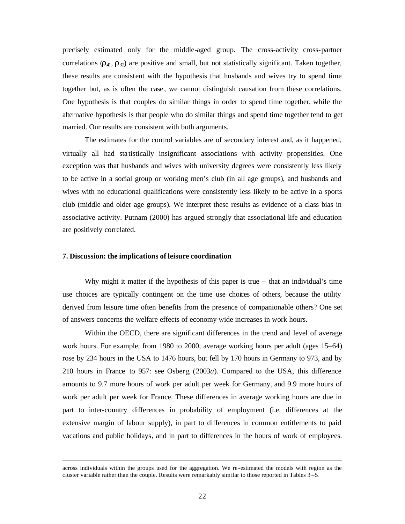precisely estimated only for the middle-aged group. The cross-activity cross-partner correlations  $(r_{41}, r_{32})$  are positive and small, but not statistically significant. Taken together, these results are consistent with the hypothesis that husbands and wives try to spend time together but, as is often the case , we cannot distinguish causation from these correlations. One hypothesis is that couples do similar things in order to spend time together, while the alternative hypothesis is that people who do similar things and spend time together tend to get married. Our results are consistent with both arguments.

The estimates for the control variables are of secondary interest and, as it happened, virtually all had sta tistically insignificant associations with activity propensities. One exception was that husbands and wives with university degrees were consistently less likely to be active in a social group or working men's club (in all age groups), and husbands and wives with no educational qualifications were consistently less likely to be active in a sports club (middle and older age groups). We interpret these results as evidence of a class bias in associative activity. Putnam (2000) has argued strongly that associational life and education are positively correlated.

#### **7. Discussion: the implications of leisure coordination**

 $\overline{a}$ 

Why might it matter if the hypothesis of this paper is true  $-$  that an individual's time use choices are typically contingent on the time use choices of others, because the utility derived from leisure time often benefits from the presence of companionable others? One set of answers concerns the welfare effects of economy-wide increases in work hours.

Within the OECD, there are significant differences in the trend and level of average work hours. For example, from 1980 to 2000, average working hours per adult (ages 15–64) rose by 234 hours in the USA to 1476 hours, but fell by 170 hours in Germany to 973, and by 210 hours in France to 957: see Osberg (2003*a*). Compared to the USA, this difference amounts to 9.7 more hours of work per adult per week for Germany, and 9.9 more hours of work per adult per week for France. These differences in average working hours are due in part to inter-country differences in probability of employment (i.e. differences at the extensive margin of labour supply), in part to differences in common entitlements to paid vacations and public holidays, and in part to differences in the hours of work of employees.

across individuals within the groups used for the aggregation. We re-estimated the models with region as the cluster variable rather than the couple. Results were remarkably similar to those reported in Tables 3 –5.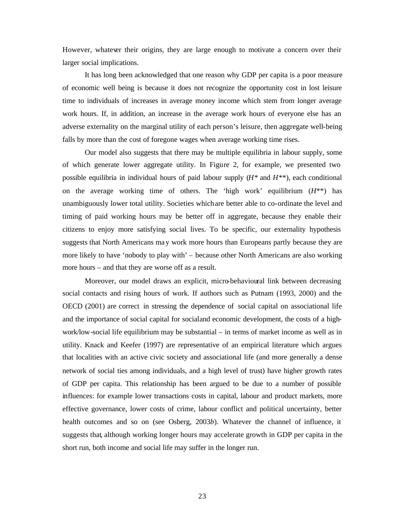However, whatever their origins, they are large enough to motivate a concern over their larger social implications.

It has long been acknowledged that one reason why GDP per capita is a poor measure of economic well being is because it does not recognize the opportunity cost in lost leisure time to individuals of increases in average money income which stem from longer average work hours. If, in addition, an increase in the average work hours of everyone else has an adverse externality on the marginal utility of each person's leisure, then aggregate well-being falls by more than the cost of foregone wages when average working time rises.

Our model also suggests that there may be multiple equilibria in labour supply, some of which generate lower aggregate utility. In Figure 2, for example, we presented two possible equilibria in individual hours of paid labour supply (*H*\* and *H*\*\*), each conditional on the average working time of others. The 'high work' equilibrium  $(H^{**})$  has unambiguously lower total utility. Societies which are better able to co-ordinate the level and timing of paid working hours may be better off in aggregate, because they enable their citizens to enjoy more satisfying social lives. To be specific, our externality hypothesis suggests that North Americans ma y work more hours than Europeans partly because they are more likely to have 'nobody to play with' – because other North Americans are also working more hours – and that they are worse off as a result.

Moreover, our model draws an explicit, micro-behavioural link between decreasing social contacts and rising hours of work. If authors such as Putnam (1993, 2000) and the OECD (2001) are correct in stressing the dependence of social capital on associational life and the importance of social capital for social and economic development, the costs of a highwork/low-social life equilibrium may be substantial – in terms of market income as well as in utility. Knack and Keefer (1997) are representative of an empirical literature which argues that localities with an active civic society and associational life (and more generally a dense network of social ties among individuals, and a high level of trust) have higher growth rates of GDP per capita. This relationship has been argued to be due to a number of possible influences: for example lower transactions costs in capital, labour and product markets, more effective governance, lower costs of crime, labour conflict and political uncertainty, better health outcomes and so on (see Osberg, 2003*b*). Whatever the channel of influence, it suggests that, although working longer hours may accelerate growth in GDP per capita in the short run, both income and social life may suffer in the longer run.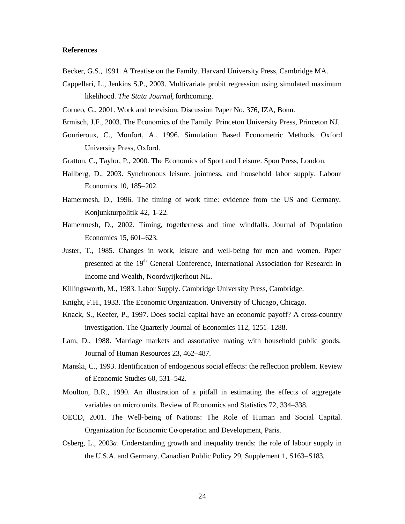#### **References**

- Becker, G.S., 1991. A Treatise on the Family. Harvard University Press, Cambridge MA.
- Cappellari, L., Jenkins S.P., 2003. Multivariate probit regression using simulated maximum likelihood. *The Stata Journal*, forthcoming.
- Corneo, G., 2001. Work and television. Discussion Paper No. 376, IZA, Bonn.
- Ermisch, J.F., 2003. The Economics of the Family. Princeton University Press, Princeton NJ.
- Gourieroux, C., Monfort, A., 1996. Simulation Based Econometric Methods. Oxford University Press, Oxford.
- Gratton, C., Taylor, P., 2000. The Economics of Sport and Leisure. Spon Press, London.
- Hallberg, D., 2003. Synchronous leisure, jointness, and household labor supply. Labour Economics 10, 185–202.
- Hamermesh, D., 1996. The timing of work time: evidence from the US and Germany. Konjunkturpolitik 42, 1–22.
- Hamermesh, D., 2002. Timing, togetherness and time windfalls. Journal of Population Economics 15, 601–623.
- Juster, T., 1985. Changes in work, leisure and well-being for men and women. Paper presented at the 19<sup>th</sup> General Conference, International Association for Research in Income and Wealth, Noordwijkerhout NL.
- Killingsworth, M., 1983. Labor Supply. Cambridge University Press, Cambridge.
- Knight, F.H., 1933. The Economic Organization. University of Chicago, Chicago.
- Knack, S., Keefer, P., 1997. Does social capital have an economic payoff? A cross-country investigation. The Quarterly Journal of Economics 112, 1251–1288.
- Lam, D., 1988. Marriage markets and assortative mating with household public goods. Journal of Human Resources 23, 462–487.
- Manski, C., 1993. Identification of endogenous social effects: the reflection problem. Review of Economic Studies 60, 531–542.
- Moulton, B.R., 1990. An illustration of a pitfall in estimating the effects of aggregate variables on micro units. Review of Economics and Statistics 72, 334–338.
- OECD, 2001. The Well-being of Nations: The Role of Human and Social Capital. Organization for Economic Co-operation and Development, Paris.
- Osberg, L., 2003*a*. Understanding growth and inequality trends: the role of labour supply in the U.S.A. and Germany. Canadian Public Policy 29, Supplement 1, S163–S183.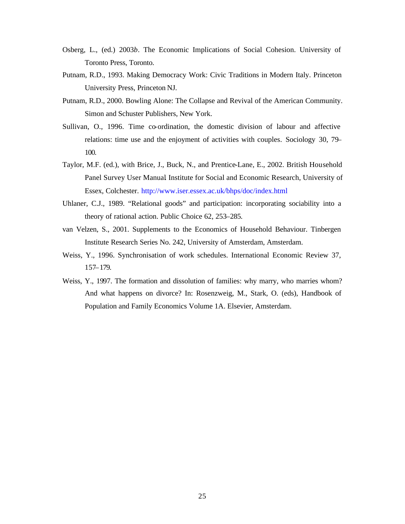- Osberg, L., (ed.) 2003*b*. The Economic Implications of Social Cohesion. University of Toronto Press, Toronto.
- Putnam, R.D., 1993. Making Democracy Work: Civic Traditions in Modern Italy. Princeton University Press, Princeton NJ.
- Putnam, R.D., 2000. Bowling Alone: The Collapse and Revival of the American Community. Simon and Schuster Publishers, New York.
- Sullivan, O., 1996. Time co-ordination, the domestic division of labour and affective relations: time use and the enjoyment of activities with couples. Sociology 30, 79– 100.
- Taylor, M.F. (ed.), with Brice, J., Buck, N., and Prentice-Lane, E., 2002. British Household Panel Survey User Manual Institute for Social and Economic Research, University of Essex, Colchester. http://www.iser.essex.ac.uk/bhps/doc/index.html
- Uhlaner, C.J., 1989. "Relational goods" and participation: incorporating sociability into a theory of rational action. Public Choice 62, 253–285.
- van Velzen, S., 2001. Supplements to the Economics of Household Behaviour. Tinbergen Institute Research Series No. 242, University of Amsterdam, Amsterdam.
- Weiss, Y., 1996. Synchronisation of work schedules. International Economic Review 37, 157–179.
- Weiss, Y., 1997. The formation and dissolution of families: why marry, who marries whom? And what happens on divorce? In: Rosenzweig, M., Stark, O. (eds), Handbook of Population and Family Economics Volume 1A. Elsevier, Amsterdam.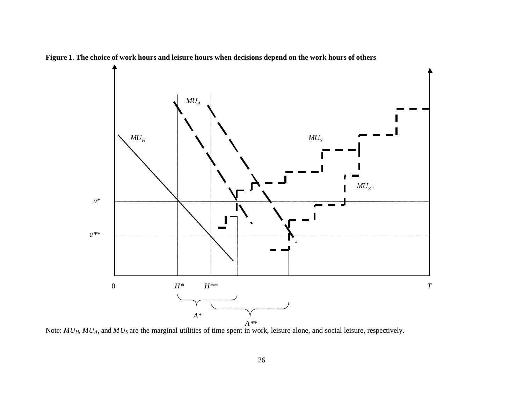

**Figure 1. The choice of work hours and leisure hours when decisions depend on the work hours of others**

Note: *MUH*, *MUA*, and *MUS* are the marginal utilities of time spent in work, leisure alone, and social leisure, respectively.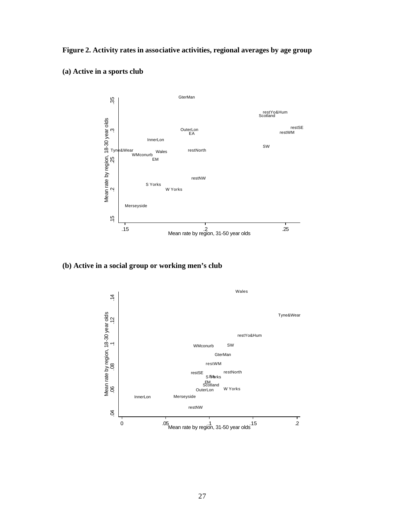#### **Figure 2. Activity rates in associative activities, regional averages by age group**

#### **(a) Active in a sports club**



#### **(b) Active in a social group or working men's club**

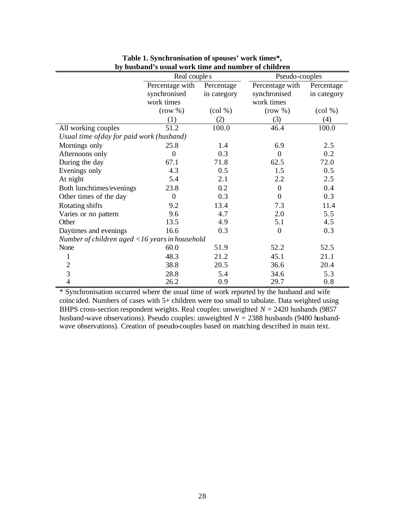|                                                                 | oy nasoana s'asaar work ann ana namoer or ennaren<br>Real couple s |                                | Pseudo-couples  |                                |  |  |
|-----------------------------------------------------------------|--------------------------------------------------------------------|--------------------------------|-----------------|--------------------------------|--|--|
|                                                                 | Percentage with                                                    | Percentage                     | Percentage with | Percentage                     |  |  |
|                                                                 | synchronised                                                       | in category                    | synchronised    | in category                    |  |  |
|                                                                 | work times                                                         |                                | work times      |                                |  |  |
|                                                                 | (row %)                                                            | $\left(\text{col } \% \right)$ | (row %)         | $\left(\text{col } \% \right)$ |  |  |
|                                                                 | (1)                                                                | (2)                            | (3)             | (4)                            |  |  |
| All working couples                                             | 51.2                                                               | 100.0                          | 46.4            | 100.0                          |  |  |
| Usual time ofday for paid work (husband)                        |                                                                    |                                |                 |                                |  |  |
| Mornings only                                                   | 25.8                                                               | 1.4                            | 6.9             | 2.5                            |  |  |
| Afternoons only                                                 | $\boldsymbol{0}$                                                   | 0.3                            | $\theta$        | 0.2                            |  |  |
| During the day                                                  | 67.1                                                               | 71.8                           | 62.5            | 72.0                           |  |  |
| Evenings only                                                   | 4.3                                                                | 0.5                            | 1.5             | 0.5                            |  |  |
| At night                                                        | 5.4                                                                | 2.1                            | 2.2             | 2.5                            |  |  |
| Both lunchtimes/evenings                                        | 23.8                                                               | 0.2                            | $\theta$        | 0.4                            |  |  |
| Other times of the day                                          | $\mathbf{0}$                                                       | 0.3                            | $\theta$        | 0.3                            |  |  |
| Rotating shifts                                                 | 9.2                                                                | 13.4                           | 7.3             | 11.4                           |  |  |
| Varies or no pattern                                            | 9.6                                                                | 4.7                            | 2.0             | 5.5                            |  |  |
| Other                                                           | 13.5                                                               | 4.9                            | 5.1             | 4.5                            |  |  |
| Daytimes and evenings                                           | 16.6                                                               | 0.3                            | $\theta$        | 0.3                            |  |  |
| Number of children aged $\langle 16 \rangle$ years in household |                                                                    |                                |                 |                                |  |  |
| None                                                            | 60.0                                                               | 51.9                           | 52.2            | 52.5                           |  |  |
| 1                                                               | 48.3                                                               | 21.2                           | 45.1            | 21.1                           |  |  |
| $\overline{2}$                                                  | 38.8                                                               | 20.5                           | 36.6            | 20.4                           |  |  |
| 3                                                               | 28.8                                                               | 5.4                            | 34.6            | 5.3                            |  |  |
| 4                                                               | 26.2                                                               | 0.9                            | 29.7            | 0.8                            |  |  |

**Table 1. Synchronisation of spouses' work times\*, by husband's usual work time and number of children**

\* Synchronisation occurred where the usual time of work reported by the husband and wife coinc ided. Numbers of cases with 5+ children were too small to tabulate. Data weighted using BHPS cross-section respondent weights. Real couples: unweighted  $N = 2420$  husbands (9857) husband-wave observations). Pseudo couples: unweighted  $N = 2388$  husbands (9480 husbandwave observations). Creation of pseudo-couples based on matching described in main text.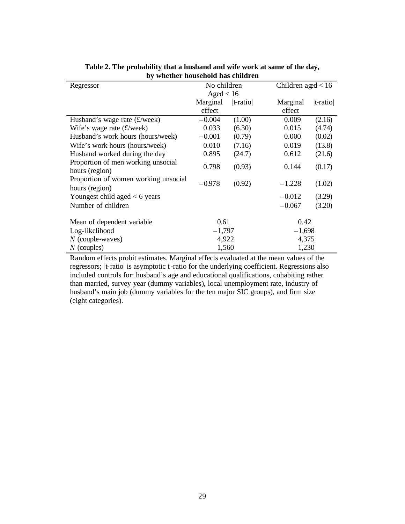| Regressor                                              | No children  |             | Children aged $< 16$ |                 |  |
|--------------------------------------------------------|--------------|-------------|----------------------|-----------------|--|
|                                                        | $A$ ged < 16 |             |                      |                 |  |
|                                                        | Marginal     | $ t$ -ratio | Marginal             | $ $ t-ratio $ $ |  |
|                                                        | effect       |             | effect               |                 |  |
| Husband's wage rate $(f$ /week)                        | $-0.004$     | (1.00)      | 0.009                | (2.16)          |  |
| Wife's wage rate $(f$ /week)                           | 0.033        | (6.30)      | 0.015                | (4.74)          |  |
| Husband's work hours (hours/week)                      | $-0.001$     | (0.79)      | 0.000                | (0.02)          |  |
| Wife's work hours (hours/week)                         | 0.010        | (7.16)      | 0.019                | (13.8)          |  |
| Husband worked during the day                          | 0.895        | (24.7)      | 0.612                | (21.6)          |  |
| Proportion of men working unsocial<br>hours (region)   | 0.798        | (0.93)      | 0.144                | (0.17)          |  |
| Proportion of women working unsocial<br>hours (region) | $-0.978$     | (0.92)      | $-1.228$             | (1.02)          |  |
| Youngest child aged $< 6$ years                        |              |             | $-0.012$             | (3.29)          |  |
| Number of children                                     |              |             | $-0.067$             | (3.20)          |  |
| Mean of dependent variable                             | 0.61         |             | 0.42                 |                 |  |
| Log-likelihood                                         | $-1,797$     |             | $-1,698$             |                 |  |
| $N$ (couple-waves)                                     | 4,922        |             | 4,375                |                 |  |
| $N$ (couples)                                          | 1,560        |             | 1,230                |                 |  |

**Table 2. The probability that a husband and wife work at same of the day, by whether household has children**

Random effects probit estimates. Marginal effects evaluated at the mean values of the regressors; |t-ratio| is asymptotic t-ratio for the underlying coefficient. Regressions also included controls for: husband's age and educational qualifications, cohabiting rather than married, survey year (dummy variables), local unemployment rate, industry of husband's main job (dummy variables for the ten major SIC groups), and firm size (eight categories).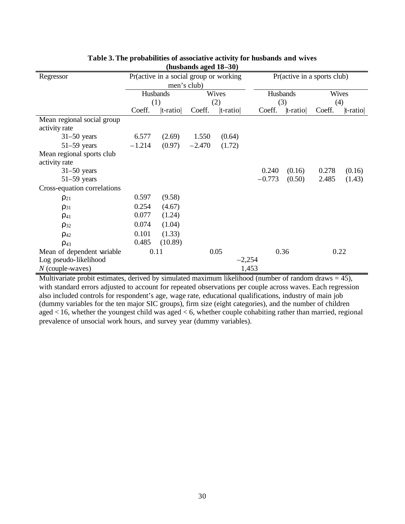| Regressor                   | $\frac{1}{2}$<br>Pr(active in a social group or working |                 |          | Pr(active in a sports club) |          |                 |        |             |  |
|-----------------------------|---------------------------------------------------------|-----------------|----------|-----------------------------|----------|-----------------|--------|-------------|--|
|                             | men's club)                                             |                 |          |                             |          |                 |        |             |  |
|                             | Husbands                                                |                 |          | Wives                       |          | Husbands        |        | Wives       |  |
|                             | (1)                                                     |                 |          | (2)                         |          | (3)             |        | (4)         |  |
|                             | Coeff.                                                  | $ $ t-ratio $ $ | Coeff.   | $ t$ -ratio                 | Coeff.   | $ $ t-ratio $ $ | Coeff. | $ $ t-ratio |  |
| Mean regional social group  |                                                         |                 |          |                             |          |                 |        |             |  |
| activity rate               |                                                         |                 |          |                             |          |                 |        |             |  |
| $31-50$ years               | 6.577                                                   | (2.69)          | 1.550    | (0.64)                      |          |                 |        |             |  |
| $51-59$ years               | $-1.214$                                                | (0.97)          | $-2.470$ | (1.72)                      |          |                 |        |             |  |
| Mean regional sports club   |                                                         |                 |          |                             |          |                 |        |             |  |
| activity rate               |                                                         |                 |          |                             |          |                 |        |             |  |
| $31-50$ years               |                                                         |                 |          |                             | 0.240    | (0.16)          | 0.278  | (0.16)      |  |
| $51-59$ years               |                                                         |                 |          |                             | $-0.773$ | (0.50)          | 2.485  | (1.43)      |  |
| Cross-equation correlations |                                                         |                 |          |                             |          |                 |        |             |  |
| $r_{21}$                    | 0.597                                                   | (9.58)          |          |                             |          |                 |        |             |  |
| $r_{31}$                    | 0.254                                                   | (4.67)          |          |                             |          |                 |        |             |  |
| $r_{41}$                    | 0.077                                                   | (1.24)          |          |                             |          |                 |        |             |  |
| $r_{32}$                    | 0.074                                                   | (1.04)          |          |                             |          |                 |        |             |  |
| $r_{42}$                    | 0.101                                                   | (1.33)          |          |                             |          |                 |        |             |  |
| $r_{43}$                    | 0.485                                                   | (10.89)         |          |                             |          |                 |        |             |  |
| Mean of dependent variable  |                                                         | 0.11            |          | 0.05                        |          | 0.36            |        | 0.22        |  |
| Log pseudo-likelihood       |                                                         |                 |          |                             | $-2,254$ |                 |        |             |  |
| $N$ (couple-waves)          | 1,453                                                   |                 |          |                             |          |                 |        |             |  |

| Table 3. The probabilities of associative activity for husbands and wives |  |
|---------------------------------------------------------------------------|--|
| (husbands aged $18-30$ )                                                  |  |

Multivariate probit estimates, derived by simulated maximum likelihood (number of random draws  $= 45$ ), with standard errors adjusted to account for repeated observations per couple across waves. Each regression also included controls for respondent's age, wage rate, educational qualifications, industry of main job (dummy variables for the ten major SIC groups), firm size (eight categories), and the number of children aged < 16, whether the youngest child was aged < 6, whether couple cohabiting rather than married, regional prevalence of unsocial work hours, and survey year (dummy variables).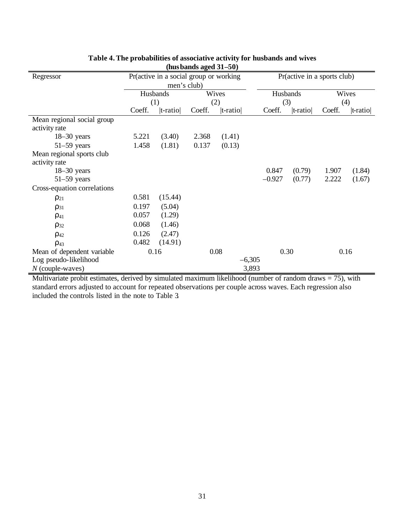| Regressor                   | $\mu$ $\mu$ $\mu$ $\mu$ $\mu$ $\mu$ $\mu$ $\sigma$<br>Pr(active in a social group or working<br>men's club) |                 |        |              | Pr(active in a sports club) |          |                 |        |                 |
|-----------------------------|-------------------------------------------------------------------------------------------------------------|-----------------|--------|--------------|-----------------------------|----------|-----------------|--------|-----------------|
|                             | Husbands                                                                                                    |                 | Wives  |              |                             | Husbands |                 | Wives  |                 |
|                             | (1)                                                                                                         |                 |        | (2)          |                             | (3)      |                 | (4)    |                 |
|                             | Coeff.                                                                                                      | $ $ t-ratio $ $ | Coeff. | $ t$ -ratio  |                             | Coeff.   | $ $ t-ratio $ $ | Coeff. | $ $ t-ratio $ $ |
| Mean regional social group  |                                                                                                             |                 |        |              |                             |          |                 |        |                 |
| activity rate               |                                                                                                             |                 |        |              |                             |          |                 |        |                 |
| $18-30$ years               | 5.221                                                                                                       | (3.40)          | 2.368  | (1.41)       |                             |          |                 |        |                 |
| $51-59$ years               | 1.458                                                                                                       | (1.81)          | 0.137  | (0.13)       |                             |          |                 |        |                 |
| Mean regional sports club   |                                                                                                             |                 |        |              |                             |          |                 |        |                 |
| activity rate               |                                                                                                             |                 |        |              |                             |          |                 |        |                 |
| $18-30$ years               |                                                                                                             |                 |        |              |                             | 0.847    | (0.79)          | 1.907  | (1.84)          |
| $51-59$ years               |                                                                                                             |                 |        |              |                             | $-0.927$ | (0.77)          | 2.222  | (1.67)          |
| Cross-equation correlations |                                                                                                             |                 |        |              |                             |          |                 |        |                 |
| $r_{21}$                    | 0.581                                                                                                       | (15.44)         |        |              |                             |          |                 |        |                 |
| $r_{31}$                    | 0.197                                                                                                       | (5.04)          |        |              |                             |          |                 |        |                 |
| $r_{41}$                    | 0.057                                                                                                       | (1.29)          |        |              |                             |          |                 |        |                 |
| $r_{32}$                    | 0.068                                                                                                       | (1.46)          |        |              |                             |          |                 |        |                 |
| $r_{42}$                    | 0.126                                                                                                       | (2.47)          |        |              |                             |          |                 |        |                 |
| $r_{43}$                    | 0.482                                                                                                       | (14.91)         |        |              |                             |          |                 |        |                 |
| Mean of dependent variable  | 0.16<br>0.08                                                                                                |                 |        | 0.30<br>0.16 |                             |          |                 |        |                 |
| Log pseudo-likelihood       |                                                                                                             |                 |        |              | $-6,305$                    |          |                 |        |                 |
| $N$ (couple-waves)          |                                                                                                             |                 |        |              | 3,893                       |          |                 |        |                 |

#### **Table 4. The probabilities of associative activity for husbands and wives (husbands aged 31–50)**

Multivariate probit estimates, derived by simulated maximum likelihood (number of random draws = 75), with standard errors adjusted to account for repeated observations per couple across waves. Each regression also included the controls listed in the note to Table 3.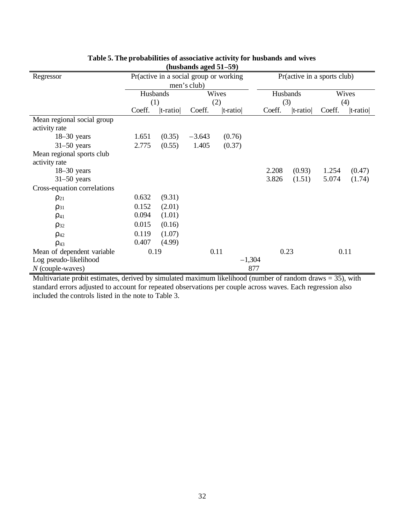| Regressor                   | $($ mubbumub ugcu e $($<br>Pr(active in a social group or working |                 |          |                 | Pr(active in a sports club) |                 |        |                 |
|-----------------------------|-------------------------------------------------------------------|-----------------|----------|-----------------|-----------------------------|-----------------|--------|-----------------|
|                             | men's club)                                                       |                 |          |                 |                             |                 |        |                 |
|                             | Husbands                                                          |                 | Wives    |                 |                             | Husbands        |        | Wives           |
|                             | (1)                                                               |                 |          | (2)             |                             | (3)             | (4)    |                 |
|                             | Coeff.                                                            | $ $ t-ratio $ $ | Coeff.   | $ $ t-ratio $ $ | Coeff.                      | $ $ t-ratio $ $ | Coeff. | $ $ t-ratio $ $ |
| Mean regional social group  |                                                                   |                 |          |                 |                             |                 |        |                 |
| activity rate               |                                                                   |                 |          |                 |                             |                 |        |                 |
| $18-30$ years               | 1.651                                                             | (0.35)          | $-3.643$ | (0.76)          |                             |                 |        |                 |
| $31-50$ years               | 2.775                                                             | (0.55)          | 1.405    | (0.37)          |                             |                 |        |                 |
| Mean regional sports club   |                                                                   |                 |          |                 |                             |                 |        |                 |
| activity rate               |                                                                   |                 |          |                 |                             |                 |        |                 |
| $18-30$ years               |                                                                   |                 |          |                 | 2.208                       | (0.93)          | 1.254  | (0.47)          |
| $31-50$ years               |                                                                   |                 |          |                 | 3.826                       | (1.51)          | 5.074  | (1.74)          |
| Cross-equation correlations |                                                                   |                 |          |                 |                             |                 |        |                 |
| $r_{21}$                    | 0.632                                                             | (9.31)          |          |                 |                             |                 |        |                 |
| $r_{31}$                    | 0.152                                                             | (2.01)          |          |                 |                             |                 |        |                 |
| $r_{41}$                    | 0.094                                                             | (1.01)          |          |                 |                             |                 |        |                 |
| $r_{32}$                    | 0.015                                                             | (0.16)          |          |                 |                             |                 |        |                 |
| $r_{42}$                    | 0.119                                                             | (1.07)          |          |                 |                             |                 |        |                 |
| $r_{43}$                    | 0.407                                                             | (4.99)          |          |                 |                             |                 |        |                 |
| Mean of dependent variable  | 0.19                                                              |                 |          | 0.11            |                             | 0.23            |        | 0.11            |
| Log pseudo-likelihood       |                                                                   |                 |          |                 | $-1,304$                    |                 |        |                 |
| $N$ (couple-waves)          |                                                                   |                 |          |                 | 877                         |                 |        |                 |

#### **Table 5. The probabilities of associative activity for husbands and wives (husbands aged 51–59)**

Multivariate probit estimates, derived by simulated maximum likelihood (number of random draws  $= 35$ ), with standard errors adjusted to account for repeated observations per couple across waves. Each regression also included the controls listed in the note to Table 3.